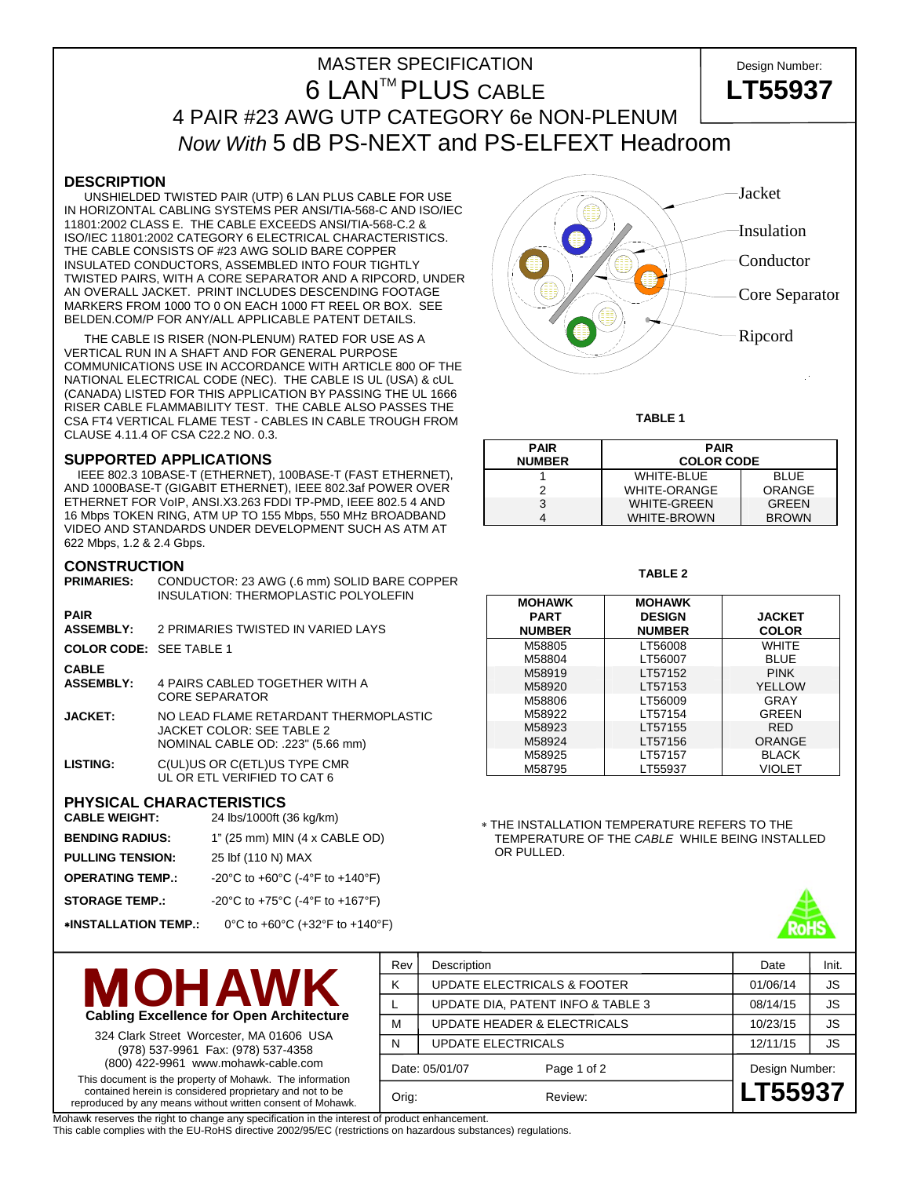# MASTER SPECIFICATION 
NASTER SPECIFICATION 6 LANTM PLUS CABLE **LT55937** 4 PAIR #23 AWG UTP CATEGORY 6e NON-PLENUM *Now With* 5 dB PS-NEXT and PS-ELFEXT Headroom

### **DESCRIPTION**

 UNSHIELDED TWISTED PAIR (UTP) 6 LAN PLUS CABLE FOR USE IN HORIZONTAL CABLING SYSTEMS PER ANSI/TIA-568-C AND ISO/IEC 11801:2002 CLASS E. THE CABLE EXCEEDS ANSI/TIA-568-C.2 & ISO/IEC 11801:2002 CATEGORY 6 ELECTRICAL CHARACTERISTICS. THE CABLE CONSISTS OF #23 AWG SOLID BARE COPPER INSULATED CONDUCTORS, ASSEMBLED INTO FOUR TIGHTLY TWISTED PAIRS, WITH A CORE SEPARATOR AND A RIPCORD, UNDER AN OVERALL JACKET. PRINT INCLUDES DESCENDING FOOTAGE MARKERS FROM 1000 TO 0 ON EACH 1000 FT REEL OR BOX. SEE BELDEN.COM/P FOR ANY/ALL APPLICABLE PATENT DETAILS.

 THE CABLE IS RISER (NON-PLENUM) RATED FOR USE AS A VERTICAL RUN IN A SHAFT AND FOR GENERAL PURPOSE COMMUNICATIONS USE IN ACCORDANCE WITH ARTICLE 800 OF THE NATIONAL ELECTRICAL CODE (NEC). THE CABLE IS UL (USA) & cUL (CANADA) LISTED FOR THIS APPLICATION BY PASSING THE UL 1666 RISER CABLE FLAMMABILITY TEST. THE CABLE ALSO PASSES THE CSA FT4 VERTICAL FLAME TEST - CABLES IN CABLE TROUGH FROM CLAUSE 4.11.4 OF CSA C22.2 NO. 0.3.

### **SUPPORTED APPLICATIONS**

 IEEE 802.3 10BASE-T (ETHERNET), 100BASE-T (FAST ETHERNET), AND 1000BASE-T (GIGABIT ETHERNET), IEEE 802.3af POWER OVER ETHERNET FOR VoIP, ANSI.X3.263 FDDI TP-PMD, IEEE 802.5 4 AND 16 Mbps TOKEN RING, ATM UP TO 155 Mbps, 550 MHz BROADBAND VIDEO AND STANDARDS UNDER DEVELOPMENT SUCH AS ATM AT 622 Mbps, 1.2 & 2.4 Gbps.

### **CONSTRUCTION**

| <b>PRIMARIES:</b>                | CONDUCTOR: 23 AWG (.6 mm) SOLID BARE COPPER<br>INSULATION: THERMOPLASTIC POLYOLEFIN |
|----------------------------------|-------------------------------------------------------------------------------------|
| <b>PAIR</b><br><b>ASSEMBLY:</b>  | 2 PRIMARIES TWISTED IN VARIED LAYS                                                  |
| <b>COLOR CODE: SEE TABLE 1</b>   |                                                                                     |
| <b>CABLE</b><br><b>ASSEMBLY:</b> | 4 PAIRS CABLED TOGETHER WITH A<br><b>CORE SEPARATOR</b>                             |

- **JACKET:** NO LEAD FLAME RETARDANT THERMOPLASTIC JACKET COLOR: SEE TABLE 2 NOMINAL CABLE OD: .223" (5.66 mm) **LISTING:** C(UL)US OR C(ETL)US TYPE CMR
- UL OR ETL VERIFIED TO CAT 6

## **PHYSICAL CHARACTERISTICS**

| <b>CABLE WEIGHT:</b>        | 24 lbs/1000ft (36 kg/km)        |
|-----------------------------|---------------------------------|
| <b>BENDING RADIUS:</b>      | 1" (25 mm) MIN (4 x CABLE OD)   |
| <b>PULLING TENSION:</b>     | 25 lbf (110 N) MAX              |
| <b>OPERATING TEMP.:</b>     | -20°C to +60°C (-4°F to +140°F) |
| <b>STORAGE TEMP.:</b>       | -20°C to +75°C (-4°F to +167°F) |
| <b>*INSTALLATION TEMP.:</b> | 0°C to +60°C (+32°F to +140°F)  |



**TABLE 1** 

| <b>PAIR</b>   | <b>PAIR</b>         |               |  |  |  |
|---------------|---------------------|---------------|--|--|--|
| <b>NUMBER</b> | <b>COLOR CODE</b>   |               |  |  |  |
|               | <b>WHITE-BLUE</b>   | <b>BLUE</b>   |  |  |  |
|               | <b>WHITE-ORANGE</b> | <b>ORANGE</b> |  |  |  |
| 3             | <b>WHITE-GREEN</b>  | <b>GREEN</b>  |  |  |  |
|               | <b>WHITE-BROWN</b>  | <b>BROWN</b>  |  |  |  |

#### **TABLE 2**

| <b>MOHAWK</b><br><b>PART</b> | <b>MOHAWK</b><br><b>DESIGN</b> | <b>JACKET</b> |
|------------------------------|--------------------------------|---------------|
| <b>NUMBER</b>                | <b>NUMBER</b>                  | <b>COLOR</b>  |
| M58805                       | LT56008                        | WHITF         |
| M58804                       | LT56007                        | <b>BLUE</b>   |
| M58919                       | LT57152                        | <b>PINK</b>   |
| M58920                       | LT57153                        | YELLOW        |
| M58806                       | LT56009                        | GRAY          |
| M58922                       | LT57154                        | GREEN         |
| M58923                       | LT57155                        | <b>RFD</b>    |
| M58924                       | LT57156                        | <b>ORANGE</b> |
| M58925                       | LT57157                        | <b>BLACK</b>  |
| M58795                       | LT55937                        | <b>VIOLET</b> |

∗ THE INSTALLATION TEMPERATURE REFERS TO THE TEMPERATURE OF THE *CABLE* WHILE BEING INSTALLED OR PULLED.

Rev Description **Date** Init. K | UPDATE ELECTRICALS & FOOTER | 01/06/14 | JS





This document is the property of Mohawk. The information contained herein is considered proprietary and not to be reproduced by any means without written consent of Mohawk.

L | UPDATE DIA, PATENT INFO & TABLE 3 | 08/14/15 | JS M | UPDATE HEADER & ELECTRICALS | 10/23/15 | JS N UPDATE ELECTRICALS 12/11/15 JS Date: 05/01/07 Page 1 of 2 Design Number: Orig: Review: **LT55937**

Mohawk reserves the right to change any specification in the interest of product enhancement.

This cable complies with the EU-RoHS directive 2002/95/EC (restrictions on hazardous substances) regulations.